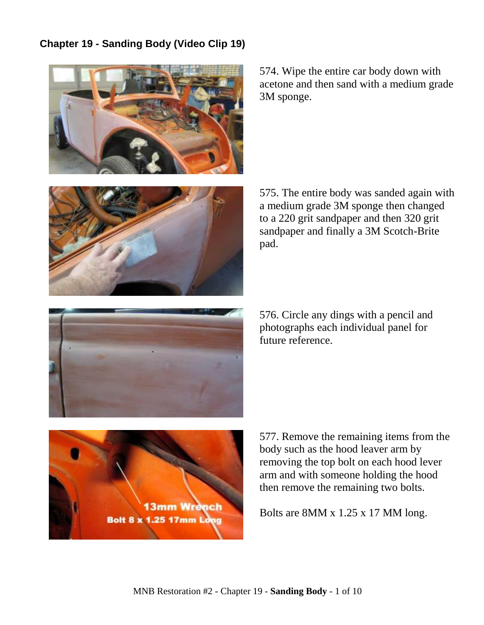## **Chapter 19 - Sanding Body (Video Clip 19)**



574. Wipe the entire car body down with acetone and then sand with a medium grade 3M sponge.



575. The entire body was sanded again with a medium grade 3M sponge then changed to a 220 grit sandpaper and then 320 grit sandpaper and finally a 3M Scotch-Brite pad.



576. Circle any dings with a pencil and photographs each individual panel for future reference.



577. Remove the remaining items from the body such as the hood leaver arm by removing the top bolt on each hood lever arm and with someone holding the hood then remove the remaining two bolts.

Bolts are 8MM x 1.25 x 17 MM long.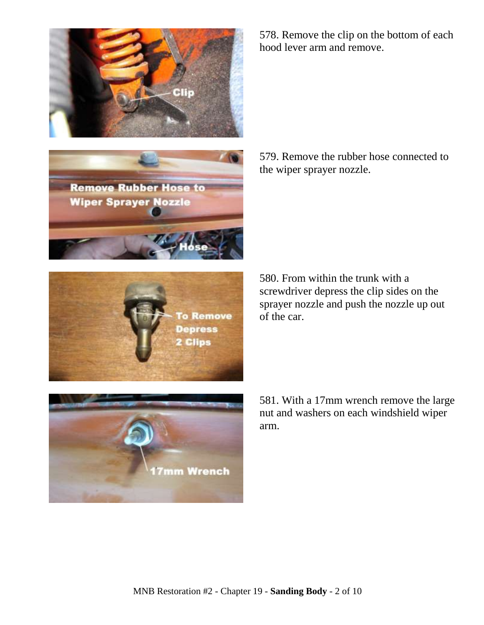



578. Remove the clip on the bottom of each hood lever arm and remove.

579. Remove the rubber hose connected to the wiper sprayer nozzle.

580. From within the trunk with a screwdriver depress the clip sides on the sprayer nozzle and push the nozzle up out of the car.

> 581. With a 17mm wrench remove the large nut and washers on each windshield wiper arm.



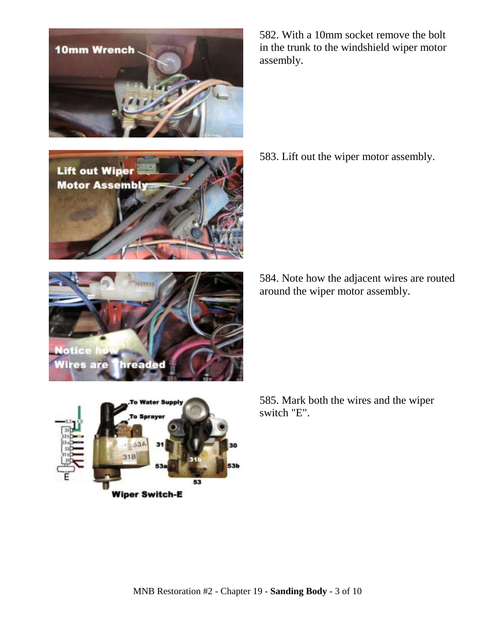

**Lift out Wiper Motor Assembly**  582. With a 10mm socket remove the bolt in the trunk to the windshield wiper motor assembly.

583. Lift out the wiper motor assembly.



584. Note how the adjacent wires are routed around the wiper motor assembly.



585. Mark both the wires and the wiper switch "E".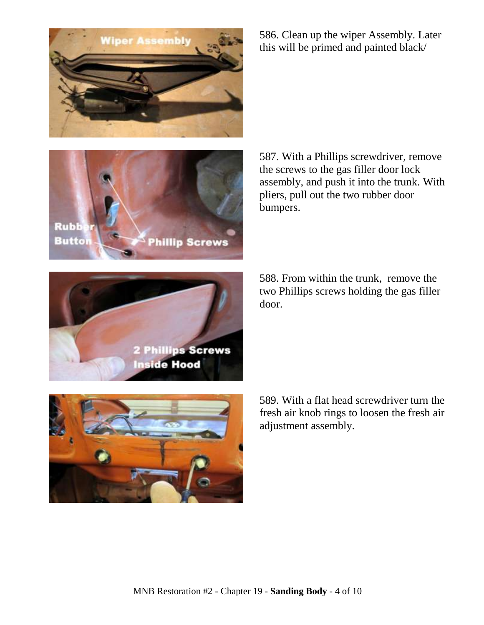

586. Clean up the wiper Assembly. Later this will be primed and painted black/



587. With a Phillips screwdriver, remove the screws to the gas filler door lock assembly, and push it into the trunk. With pliers, pull out the two rubber door bumpers.

588. From within the trunk, remove the two Phillips screws holding the gas filler door.





589. With a flat head screwdriver turn the fresh air knob rings to loosen the fresh air adjustment assembly.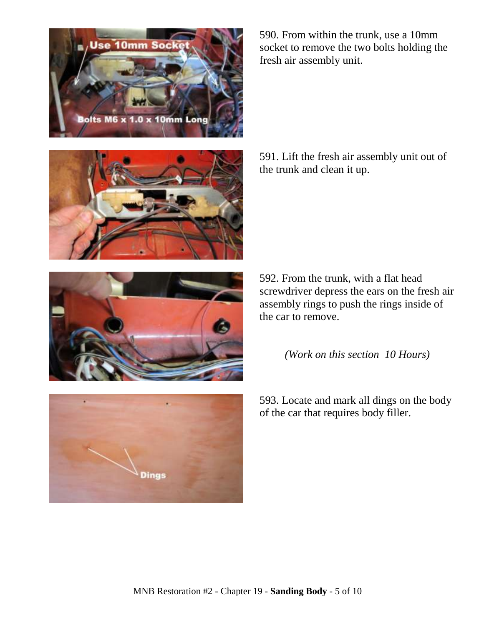







590. From within the trunk, use a 10mm socket to remove the two bolts holding the fresh air assembly unit.

591. Lift the fresh air assembly unit out of the trunk and clean it up.

592. From the trunk, with a flat head screwdriver depress the ears on the fresh air assembly rings to push the rings inside of the car to remove.

*(Work on this section 10 Hours)*

593. Locate and mark all dings on the body of the car that requires body filler.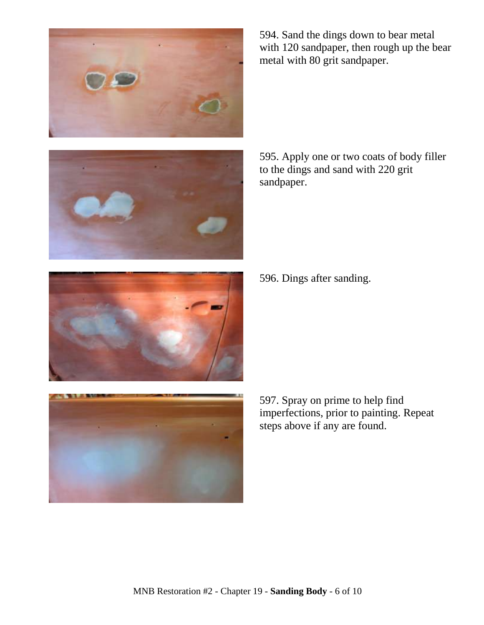



594. Sand the dings down to bear metal with 120 sandpaper, then rough up the bear metal with 80 grit sandpaper.

595. Apply one or two coats of body filler to the dings and sand with 220 grit sandpaper.

596. Dings after sanding.



597. Spray on prime to help find imperfections, prior to painting. Repeat steps above if any are found.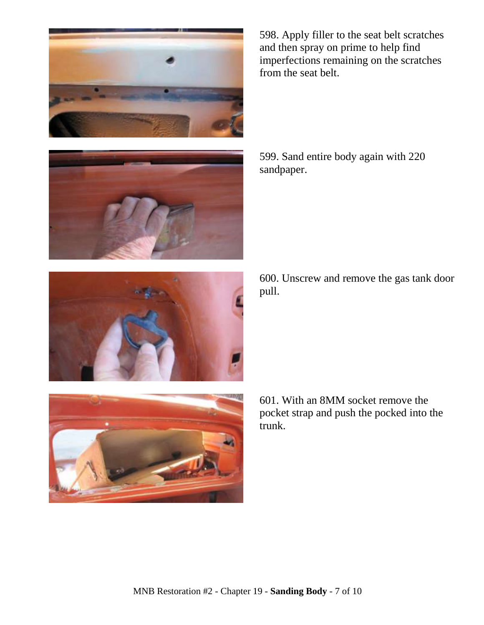



598. Apply filler to the seat belt scratches and then spray on prime to help find imperfections remaining on the scratches from the seat belt.

599. Sand entire body again with 220 sandpaper.



600. Unscrew and remove the gas tank door pull.



601. With an 8MM socket remove the pocket strap and push the pocked into the trunk.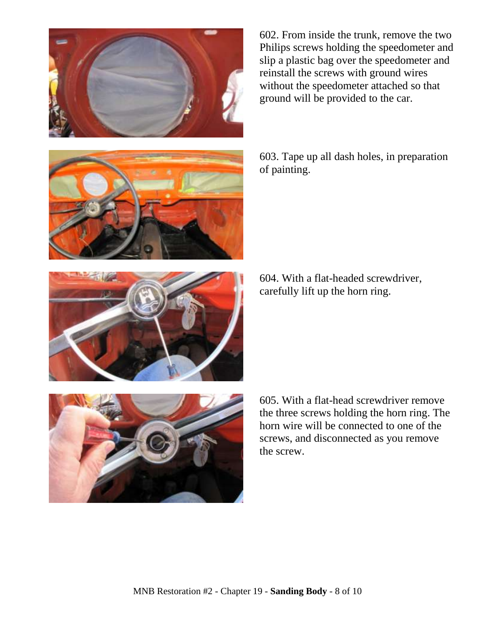



602. From inside the trunk, remove the two Philips screws holding the speedometer and slip a plastic bag over the speedometer and reinstall the screws with ground wires without the speedometer attached so that ground will be provided to the car.

603. Tape up all dash holes, in preparation of painting.

604. With a flat-headed screwdriver, carefully lift up the horn ring.



605. With a flat-head screwdriver remove the three screws holding the horn ring. The horn wire will be connected to one of the screws, and disconnected as you remove the screw.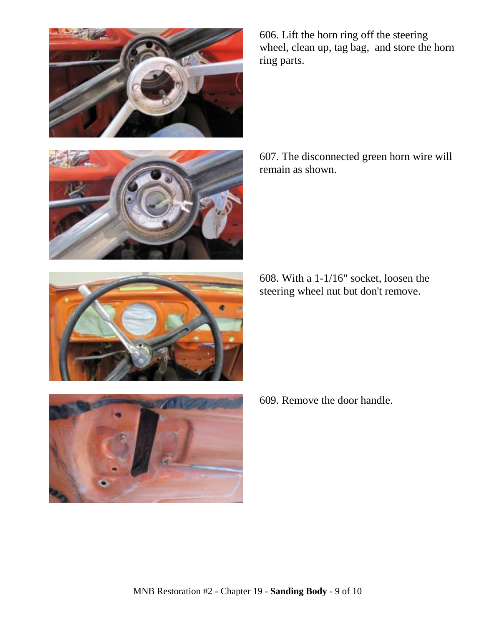



607. The disconnected green horn wire will remain as shown.

608. With a 1-1/16" socket, loosen the steering wheel nut but don't remove.



609. Remove the door handle.